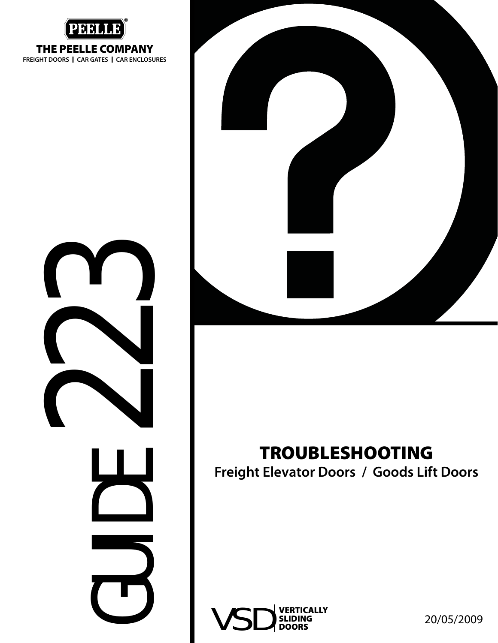

**THE PEELLE COMPANY**

**FREIGHT DOORS I CAR GATES I CAR ENCLOSURES**

CUENT 22



#### **TROUBLESHOOTING**

**Freight Elevator Doors / Goods Lift Doors**

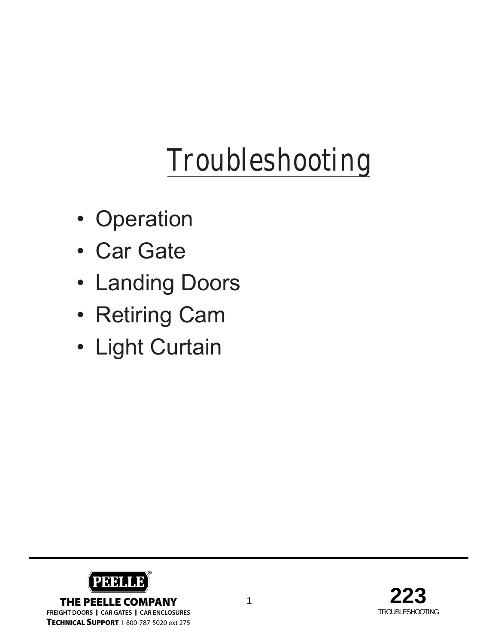# **Troubleshooting**

- Operation
- Car Gate
- Landing Doors
- Retiring Cam
- Light Curtain



**TECHNICAL SUPPORT** 1-800-787-5020 ext 275

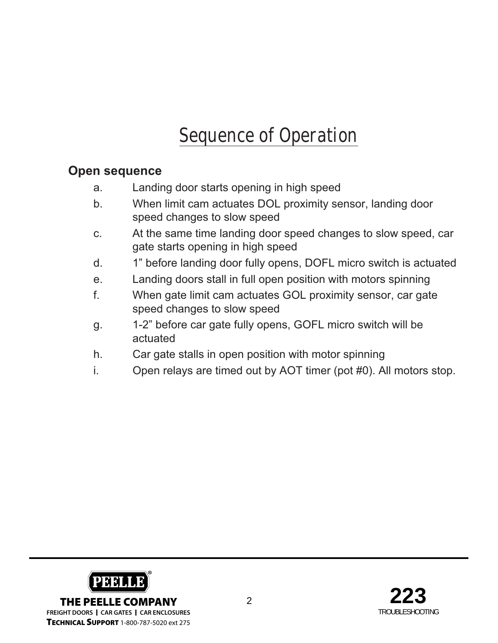## **Sequence of Operation**

#### **Open sequence**

- a. Landing door starts opening in high speed
- b. When limit cam actuates DOL proximity sensor, landing door speed changes to slow speed
- c. At the same time landing door speed changes to slow speed, car gate starts opening in high speed
- d. 1" before landing door fully opens, DOFL micro switch is actuated
- e. Landing doors stall in full open position with motors spinning
- f. When gate limit cam actuates GOL proximity sensor, car gate speed changes to slow speed
- g. 1-2" before car gate fully opens, GOFL micro switch will be actuated
- h. Car gate stalls in open position with motor spinning
- i. Open relays are timed out by AOT timer (pot #0). All motors stop.



**TECHNICAL SUPPORT** 1-800-787-5020 ext 275

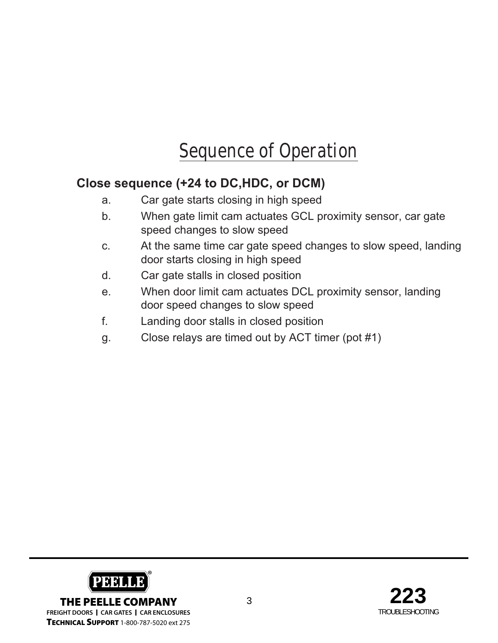## **Sequence of Operation**

#### **Close sequence (+24 to DC,HDC, or DCM)**

- a. Car gate starts closing in high speed
- b. When gate limit cam actuates GCL proximity sensor, car gate speed changes to slow speed
- c. At the same time car gate speed changes to slow speed, landing door starts closing in high speed
- d. Car gate stalls in closed position
- e. When door limit cam actuates DCL proximity sensor, landing door speed changes to slow speed
- f. Landing door stalls in closed position
- g. Close relays are timed out by ACT timer (pot #1)



**FREIGHT DOORS I CAR GATES I CAR ENCLOSURES TECHNICAL SUPPORT** 1-800-787-5020 ext 275

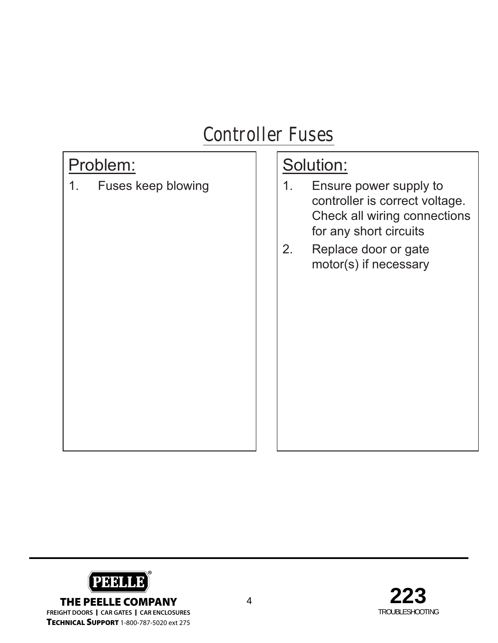## **Controller Fuses**

#### Problem:

1. Fuses keep blowing

- 1. Ensure power supply to controller is correct voltage. Check all wiring connections for any short circuits
- 2. Replace door or gate motor(s) if necessary



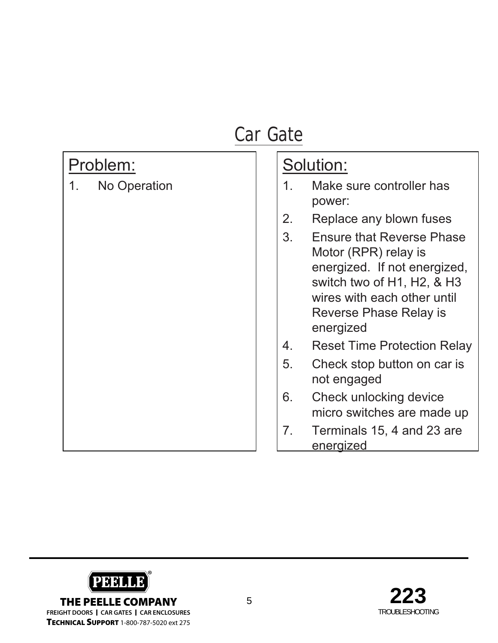## Problem:

1. No Operation

- 1. Make sure controller has power:
- 2. Replace any blown fuses
- 3. Ensure that Reverse Phase Motor (RPR) relay is energized. If not energized, switch two of H1, H2, & H3 wires with each other until Reverse Phase Relay is energized
- 4. Reset Time Protection Relay
- 5. Check stop button on car is not engaged
- 6. Check unlocking device micro switches are made up
- 7. Terminals 15, 4 and 23 are energized



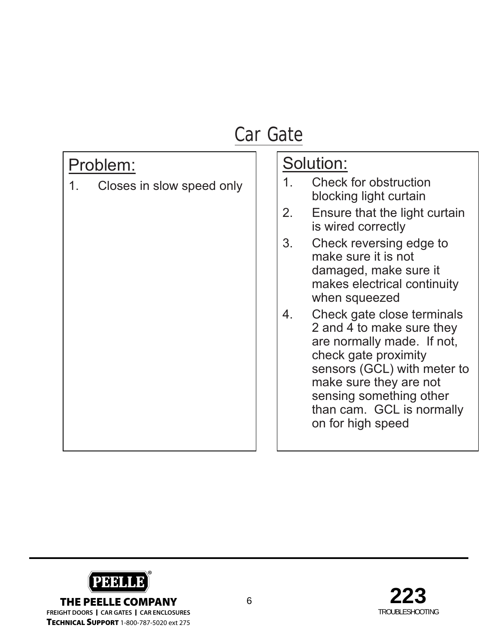#### Problem:

1. Closes in slow speed only

- 1. Check for obstruction blocking light curtain
- 2. Ensure that the light curtain is wired correctly
- 3. Check reversing edge to make sure it is not damaged, make sure it makes electrical continuity when squeezed
- 4. Check gate close terminals 2 and 4 to make sure they are normally made. If not, check gate proximity sensors (GCL) with meter to make sure they are not sensing something other than cam. GCL is normally on for high speed

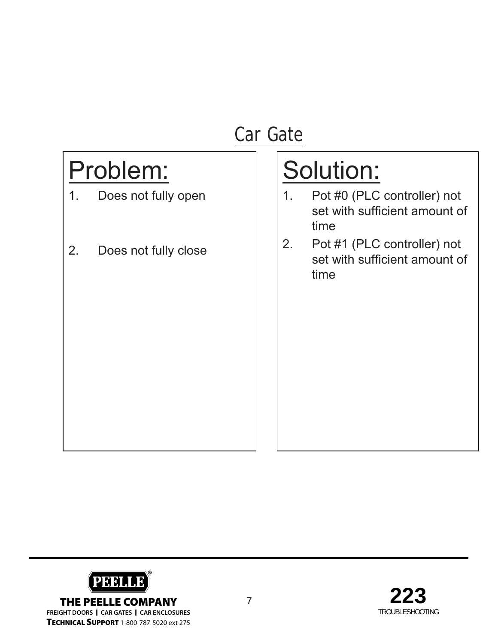# Problem:

- 1. Does not fully open
- 2. Does not fully close

- 1. Pot #0 (PLC controller) not set with sufficient amount of time
- 2. Pot #1 (PLC controller) not set with sufficient amount of time



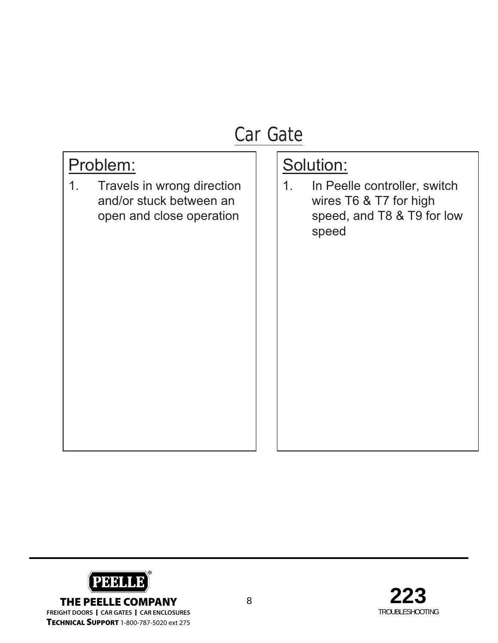#### Problem:

1. Travels in wrong direction and/or stuck between an open and close operation

### Solution:

1. In Peelle controller, switch wires T6 & T7 for high speed, and T8 & T9 for low speed



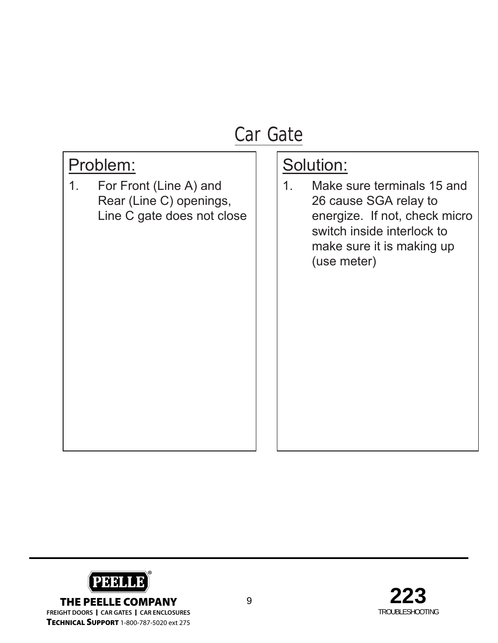#### Problem:

1. For Front (Line A) and Rear (Line C) openings, Line C gate does not close

#### Solution:

1. Make sure terminals 15 and 26 cause SGA relay to energize. If not, check micro switch inside interlock to make sure it is making up (use meter)



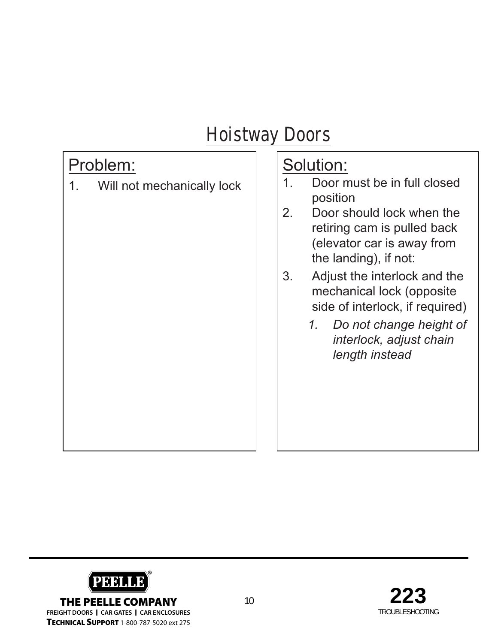#### Problem:

1. Will not mechanically lock

- 1. Door must be in full closed position
- 2. Door should lock when the retiring cam is pulled back (elevator car is away from the landing), if not:
- 3. Adjust the interlock and the mechanical lock (opposite side of interlock, if required)
	- *1. Do not change height of interlock, adjust chain length instead*



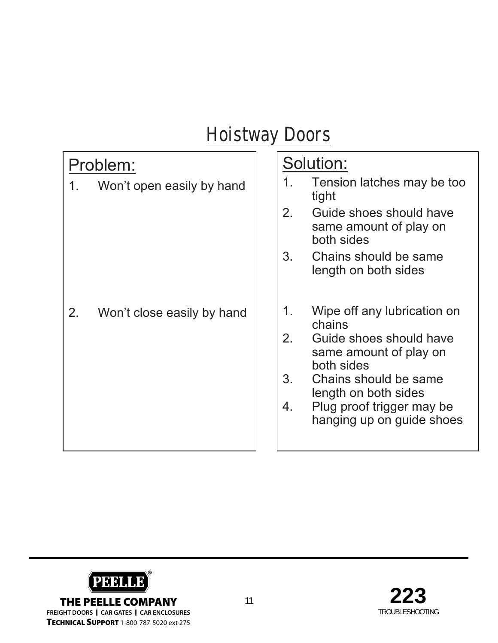#### Problem:

1. Won't open easily by hand

2. Won't close easily by hand

- 1. Tension latches may be too tight 2. Guide shoes should have same amount of play on both sides 3. Chains should be same length on both sides 1. Wipe off any lubrication on
- chains 2. Guide shoes should have same amount of play on both sides
- 3. Chains should be same length on both sides
- 4. Plug proof trigger may be hanging up on guide shoes

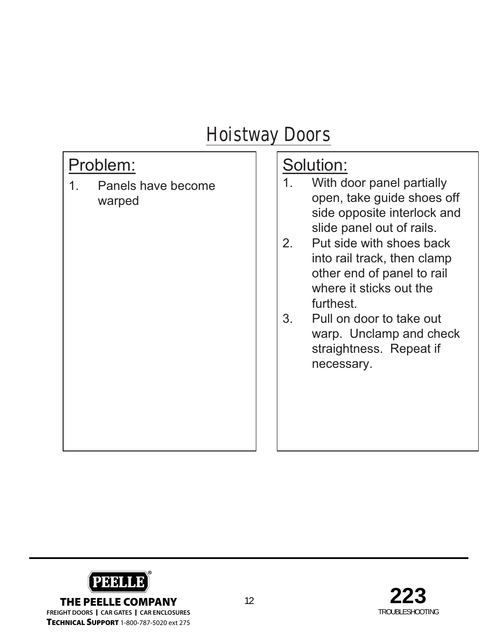#### Problem:

1. Panels have become warped

- 1. With door panel partially open, take guide shoes off side opposite interlock and slide panel out of rails.
- 2. Put side with shoes back into rail track, then clamp other end of panel to rail where it sticks out the furthest.
- 3. Pull on door to take out warp. Unclamp and check straightness. Repeat if necessary.



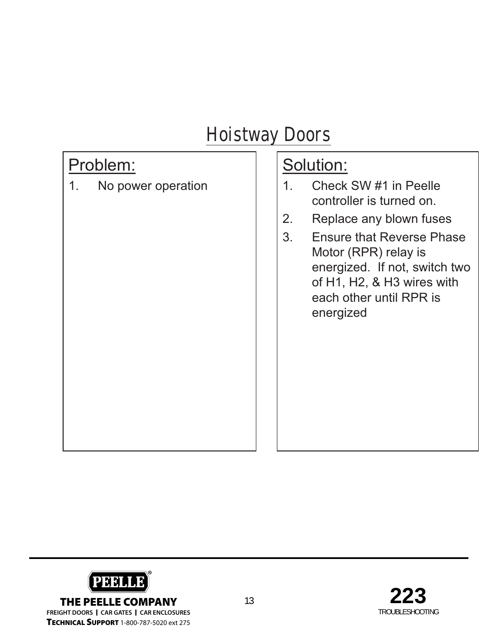#### Problem:

1. No power operation

- 1. Check SW #1 in Peelle controller is turned on.
- 2. Replace any blown fuses
- 3. Ensure that Reverse Phase Motor (RPR) relay is energized. If not, switch two of H1, H2, & H3 wires with each other until RPR is energized



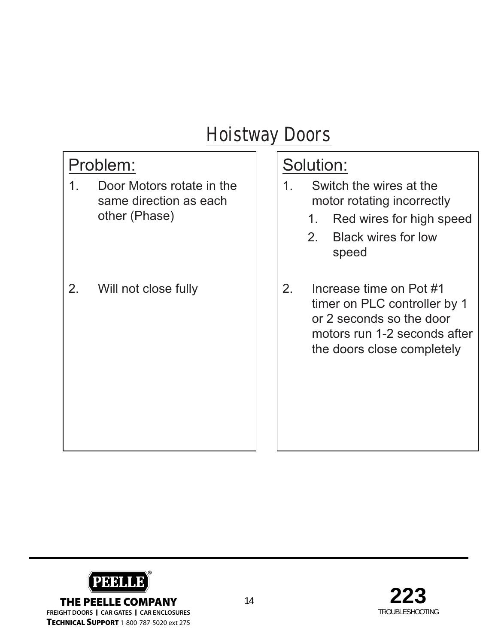#### Problem:

- 1. Door Motors rotate in the same direction as each other (Phase)
- 2. Will not close fully

- 1. Switch the wires at the motor rotating incorrectly
	- 1. Red wires for high speed
	- 2. Black wires for low speed
- 2. Increase time on Pot #1 timer on PLC controller by 1 or 2 seconds so the door motors run 1-2 seconds after the doors close completely



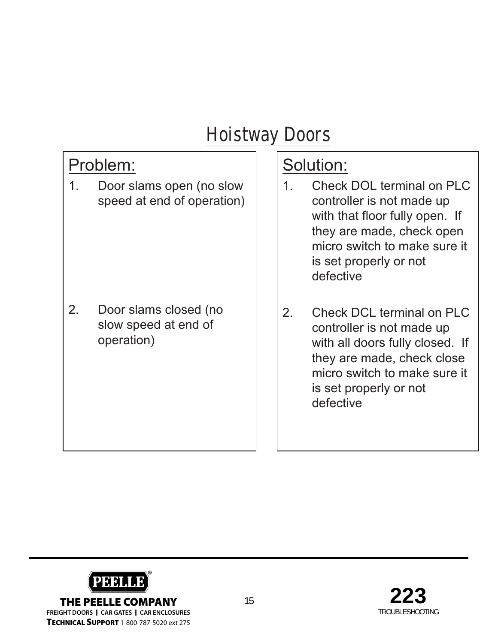#### Problem:

1. Door slams open (no slow speed at end of operation)

2. Door slams closed (no slow speed at end of operation)

- 1. Check DOL terminal on PLC controller is not made up with that floor fully open. If they are made, check open micro switch to make sure it is set properly or not defective
- 2. Check DCL terminal on PLC controller is not made up with all doors fully closed. If they are made, check close micro switch to make sure it is set properly or not defective



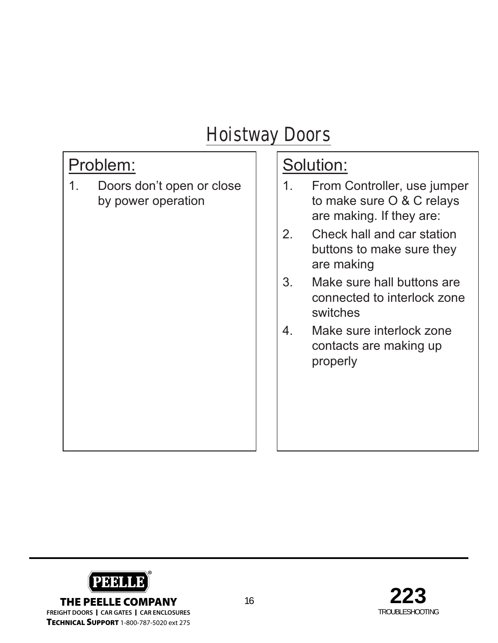#### Problem:

1. Doors don't open or close by power operation

- 1. From Controller, use jumper to make sure O & C relays are making. If they are:
- 2. Check hall and car station buttons to make sure they are making
- 3. Make sure hall buttons are connected to interlock zone switches
- 4. Make sure interlock zone contacts are making up properly



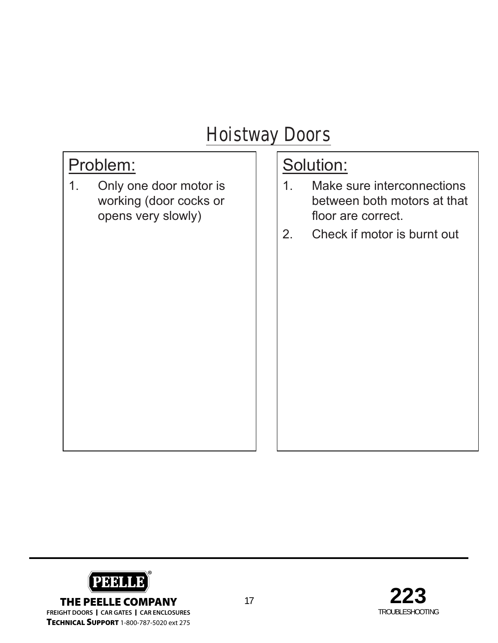#### Problem:

1. Only one door motor is working (door cocks or opens very slowly)

- 1. Make sure interconnections between both motors at that floor are correct.
- 2. Check if motor is burnt out



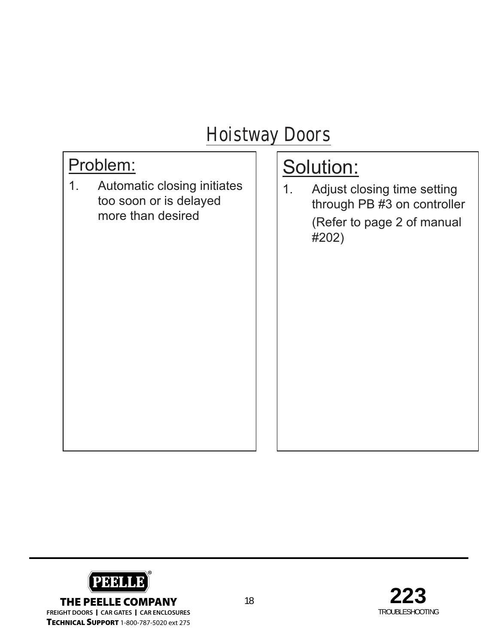#### Problem:

1. Automatic closing initiates too soon or is delayed more than desired

# Solution:

1. Adjust closing time setting through PB #3 on controller (Refer to page 2 of manual #202)

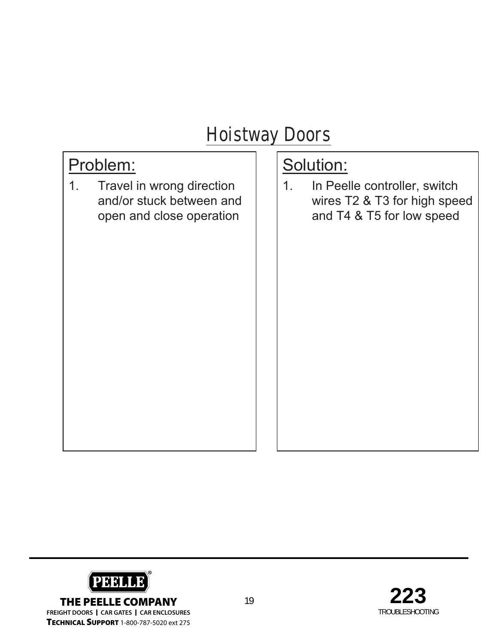#### Problem:

1. Travel in wrong direction and/or stuck between and open and close operation

## Solution:

1. In Peelle controller, switch wires T2 & T3 for high speed and T4 & T5 for low speed



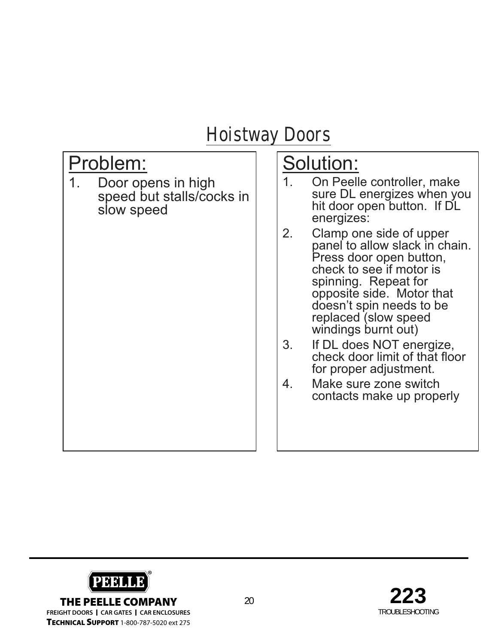#### Problem:

1. Door opens in high speed but stalls/cocks in slow speed

- 1. On Peelle controller, make sure DL energizes when you hit door open button. If DL energizes:
- 2. Clamp one side of upper panel to allow slack in chain. Press door open button, check to see if motor is spinning. Repeat for opposite side. Motor that doesn't spin needs to be replaced (slow speed windings burnt out)
- 3. If DL does NOT energize, check door limit of that floor for proper adjustment.
- 4. Make sure zone switch contacts make up properly

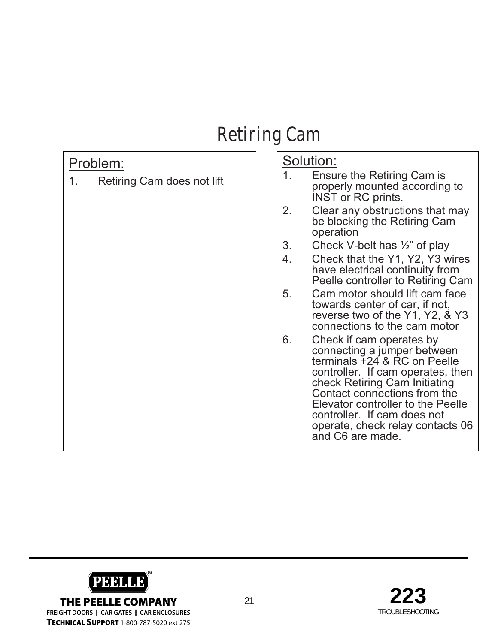## **Retiring Cam**

#### Problem:

1. Retiring Cam does not lift

- 1. Ensure the Retiring Cam is properly mounted according to INST or RC prints.
- 2. Clear any obstructions that may be blocking the Retiring Cam operation
- 3. Check V-belt has ½" of play
- 4. Check that the Y1, Y2, Y3 wires have electrical continuity from Peelle controller to Retiring Cam
- 5. Cam motor should lift cam face towards center of car, if not, reverse two of the Y1, Y2, & Y3 connections to the cam motor
- 6. Check if cam operates by connecting a jumper between terminals +24 & RC on Peelle controller. If cam operates, then check Retiring Cam Initiating Contact connections from the Elevator controller to the Peelle controller. If cam does not operate, check relay contacts 06 and C6 are made.



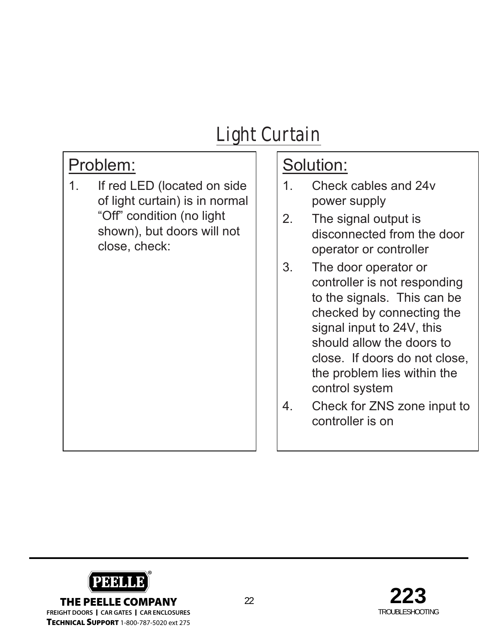# **Light Curtain**

### Problem:

1. If red LED (located on side of light curtain) is in normal "Off" condition (no light shown), but doors will not close, check:

- 1. Check cables and 24v power supply
- 2. The signal output is disconnected from the door operator or controller
- 3. The door operator or controller is not responding to the signals. This can be checked by connecting the signal input to 24V, this should allow the doors to close. If doors do not close, the problem lies within the control system
- 4. Check for ZNS zone input to controller is on



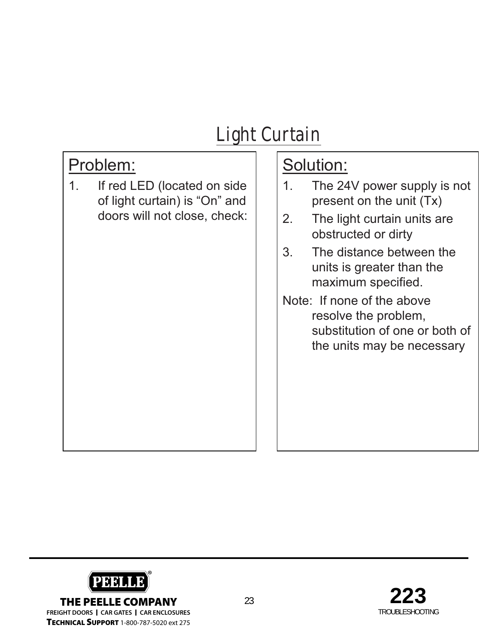## **Light Curtain**

### Problem:

1. If red LED (located on side of light curtain) is "On" and doors will not close, check:

- 1. The 24V power supply is not present on the unit (Tx)
- 2. The light curtain units are obstructed or dirty
- 3. The distance between the units is greater than the maximum specified.
- Note: If none of the above resolve the problem, substitution of one or both of the units may be necessary



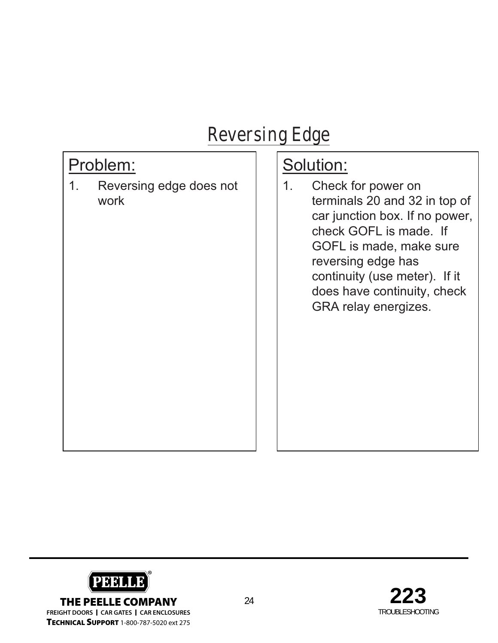## **Reversing Edge**

#### Problem:

1. Reversing edge does not work

#### Solution:

1. Check for power on terminals 20 and 32 in top of car junction box. If no power, check GOFL is made. If GOFL is made, make sure reversing edge has continuity (use meter). If it does have continuity, check GRA relay energizes.